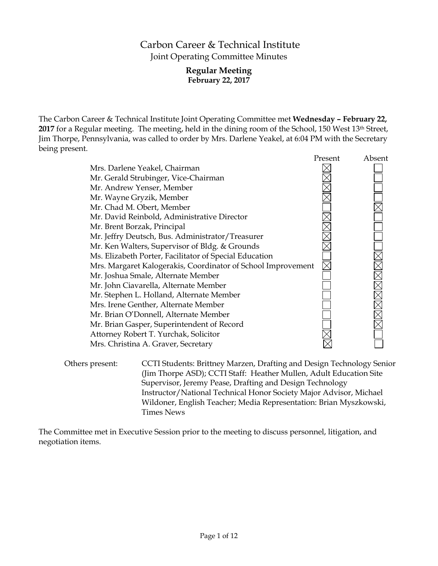# Carbon Career & Technical Institute Joint Operating Committee Minutes

## **Regular Meeting February 22, 2017**

The Carbon Career & Technical Institute Joint Operating Committee met **Wednesday – February 22,**  2017 for a Regular meeting. The meeting, held in the dining room of the School, 150 West 13<sup>th</sup> Street, Jim Thorpe, Pennsylvania, was called to order by Mrs. Darlene Yeakel, at 6:04 PM with the Secretary being present.

|                                                              | Present | Absent |
|--------------------------------------------------------------|---------|--------|
| Mrs. Darlene Yeakel, Chairman                                |         |        |
| Mr. Gerald Strubinger, Vice-Chairman                         |         |        |
| Mr. Andrew Yenser, Member                                    |         |        |
| Mr. Wayne Gryzik, Member                                     |         |        |
| Mr. Chad M. Obert, Member                                    |         |        |
| Mr. David Reinbold, Administrative Director                  |         |        |
| Mr. Brent Borzak, Principal                                  |         |        |
| Mr. Jeffry Deutsch, Bus. Administrator/Treasurer             |         |        |
| Mr. Ken Walters, Supervisor of Bldg. & Grounds               |         |        |
| Ms. Elizabeth Porter, Facilitator of Special Education       |         |        |
| Mrs. Margaret Kalogerakis, Coordinator of School Improvement |         |        |
| Mr. Joshua Smale, Alternate Member                           |         |        |
| Mr. John Ciavarella, Alternate Member                        |         |        |
| Mr. Stephen L. Holland, Alternate Member                     |         |        |
| Mrs. Irene Genther, Alternate Member                         |         |        |
| Mr. Brian O'Donnell, Alternate Member                        |         |        |
| Mr. Brian Gasper, Superintendent of Record                   |         |        |
| Attorney Robert T. Yurchak, Solicitor                        |         |        |
| Mrs. Christina A. Graver, Secretary                          |         |        |
|                                                              |         |        |

Others present: CCTI Students: Brittney Marzen, Drafting and Design Technology Senior (Jim Thorpe ASD); CCTI Staff: Heather Mullen, Adult Education Site Supervisor, Jeremy Pease, Drafting and Design Technology Instructor/National Technical Honor Society Major Advisor, Michael Wildoner, English Teacher; Media Representation: Brian Myszkowski, Times News

The Committee met in Executive Session prior to the meeting to discuss personnel, litigation, and negotiation items.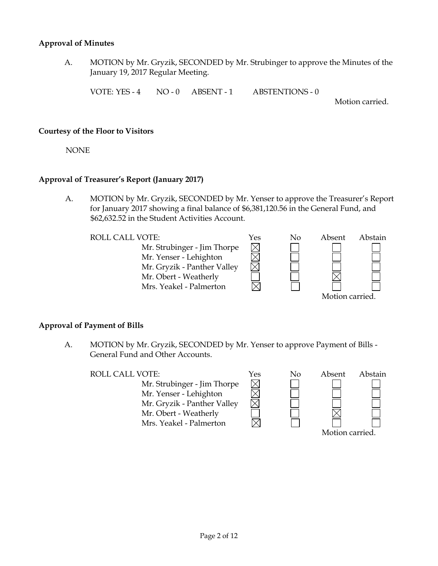### **Approval of Minutes**

A. MOTION by Mr. Gryzik, SECONDED by Mr. Strubinger to approve the Minutes of the January 19, 2017 Regular Meeting.

VOTE: YES - 4 NO - 0 ABSENT - 1 ABSTENTIONS - 0

Motion carried.

#### **Courtesy of the Floor to Visitors**

NONE

### **Approval of Treasurer's Report (January 2017)**

A. MOTION by Mr. Gryzik, SECONDED by Mr. Yenser to approve the Treasurer's Report for January 2017 showing a final balance of \$6,381,120.56 in the General Fund, and \$62,632.52 in the Student Activities Account.

| <b>ROLL CALL VOTE:</b>      | Yes | Nο | Absent          | Abstain |
|-----------------------------|-----|----|-----------------|---------|
| Mr. Strubinger - Jim Thorpe |     |    |                 |         |
| Mr. Yenser - Lehighton      |     |    |                 |         |
| Mr. Gryzik - Panther Valley |     |    |                 |         |
| Mr. Obert - Weatherly       |     |    |                 |         |
| Mrs. Yeakel - Palmerton     |     |    |                 |         |
|                             |     |    | Motion carried. |         |

#### **Approval of Payment of Bills**

A. MOTION by Mr. Gryzik, SECONDED by Mr. Yenser to approve Payment of Bills - General Fund and Other Accounts.

ROLL CALL VOTE:  $Y$ es No Absent Abstain

Mr. Strubinger - Jim Thorpe Mr. Yenser - Lehighton Mr. Gryzik - Panther Valley Mr. Obert - Weatherly Mrs. Yeakel - Palmerton



 $\boxtimes$  $\overline{\boxtimes}$ 

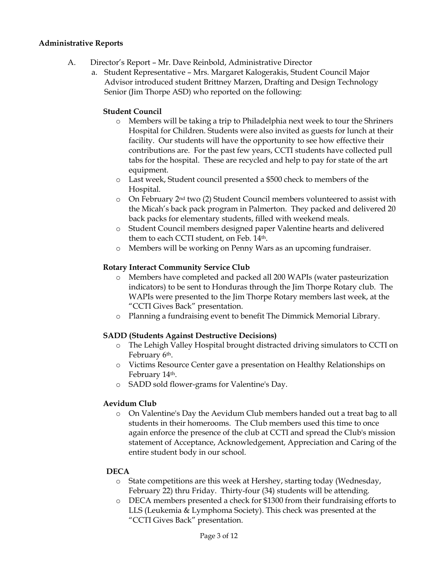## **Administrative Reports**

- A. Director's Report Mr. Dave Reinbold, Administrative Director
	- a. Student Representative Mrs. Margaret Kalogerakis, Student Council Major Advisor introduced student Brittney Marzen, Drafting and Design Technology Senior (Jim Thorpe ASD) who reported on the following:

## **Student Council**

- o Members will be taking a trip to Philadelphia next week to tour the Shriners Hospital for Children. Students were also invited as guests for lunch at their facility. Our students will have the opportunity to see how effective their contributions are. For the past few years, CCTI students have collected pull tabs for the hospital. These are recycled and help to pay for state of the art equipment.
- o Last week, Student council presented a \$500 check to members of the Hospital.
- $\circ$  On February 2<sup>nd</sup> two (2) Student Council members volunteered to assist with the Micah's back pack program in Palmerton. They packed and delivered 20 back packs for elementary students, filled with weekend meals.
- o Student Council members designed paper Valentine hearts and delivered them to each CCTI student, on Feb. 14<sup>th</sup>.
- o Members will be working on Penny Wars as an upcoming fundraiser.

## **Rotary Interact Community Service Club**

- o Members have completed and packed all 200 WAPIs (water pasteurization indicators) to be sent to Honduras through the Jim Thorpe Rotary club. The WAPIs were presented to the Jim Thorpe Rotary members last week, at the "CCTI Gives Back" presentation.
- o Planning a fundraising event to benefit The Dimmick Memorial Library.

## **SADD (Students Against Destructive Decisions)**

- o The Lehigh Valley Hospital brought distracted driving simulators to CCTI on February 6th.
- o Victims Resource Center gave a presentation on Healthy Relationships on February 14th.
- o SADD sold flower-grams for Valentine's Day.

## **Aevidum Club**

o On Valentine's Day the Aevidum Club members handed out a treat bag to all students in their homerooms. The Club members used this time to once again enforce the presence of the club at CCTI and spread the Club's mission statement of Acceptance, Acknowledgement, Appreciation and Caring of the entire student body in our school.

## **DECA**

- o State competitions are this week at Hershey, starting today (Wednesday, February 22) thru Friday. Thirty-four (34) students will be attending.
- o DECA members presented a check for \$1300 from their fundraising efforts to LLS (Leukemia & Lymphoma Society). This check was presented at the "CCTI Gives Back" presentation.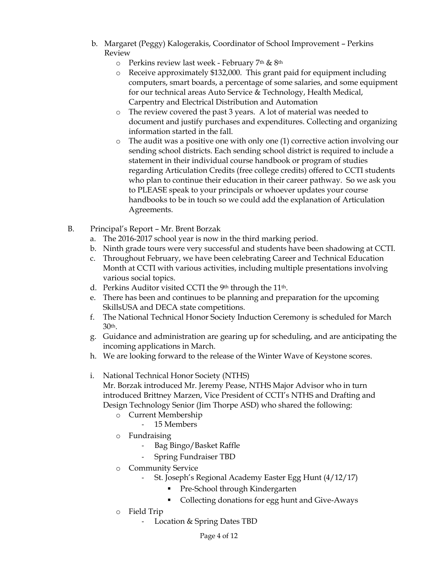- b. Margaret (Peggy) Kalogerakis, Coordinator of School Improvement Perkins Review
	- o Perkins review last week February 7th & 8th
	- o Receive approximately \$132,000. This grant paid for equipment including computers, smart boards, a percentage of some salaries, and some equipment for our technical areas Auto Service & Technology, Health Medical, Carpentry and Electrical Distribution and Automation
	- o The review covered the past 3 years. A lot of material was needed to document and justify purchases and expenditures. Collecting and organizing information started in the fall.
	- o The audit was a positive one with only one (1) corrective action involving our sending school districts. Each sending school district is required to include a statement in their individual course handbook or program of studies regarding Articulation Credits (free college credits) offered to CCTI students who plan to continue their education in their career pathway. So we ask you to PLEASE speak to your principals or whoever updates your course handbooks to be in touch so we could add the explanation of Articulation Agreements.
- B. Principal's Report Mr. Brent Borzak
	- a. The 2016-2017 school year is now in the third marking period.
	- b. Ninth grade tours were very successful and students have been shadowing at CCTI.
	- c. Throughout February, we have been celebrating Career and Technical Education Month at CCTI with various activities, including multiple presentations involving various social topics.
	- d. Perkins Auditor visited CCTI the 9<sup>th</sup> through the 11<sup>th</sup>.
	- e. There has been and continues to be planning and preparation for the upcoming SkillsUSA and DECA state competitions.
	- f. The National Technical Honor Society Induction Ceremony is scheduled for March 30th.
	- g. Guidance and administration are gearing up for scheduling, and are anticipating the incoming applications in March.
	- h. We are looking forward to the release of the Winter Wave of Keystone scores.
	- i. National Technical Honor Society (NTHS)

Mr. Borzak introduced Mr. Jeremy Pease, NTHS Major Advisor who in turn introduced Brittney Marzen, Vice President of CCTI's NTHS and Drafting and Design Technology Senior (Jim Thorpe ASD) who shared the following:

- o Current Membership
	- 15 Members
- o Fundraising
	- Bag Bingo/Basket Raffle
	- Spring Fundraiser TBD
- o Community Service
	- St. Joseph's Regional Academy Easter Egg Hunt (4/12/17)
		- Pre-School through Kindergarten
		- Collecting donations for egg hunt and Give-Aways
- o Field Trip
	- Location & Spring Dates TBD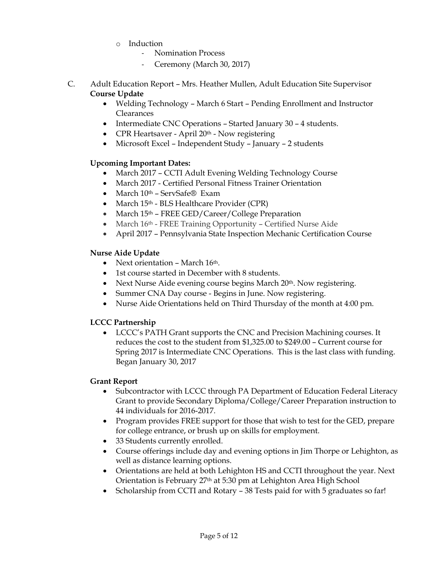- o Induction
	- Nomination Process
	- Ceremony (March 30, 2017)
- C. Adult Education Report Mrs. Heather Mullen, Adult Education Site Supervisor **Course Update**
	- Welding Technology March 6 Start Pending Enrollment and Instructor **Clearances**
	- Intermediate CNC Operations Started January 30 4 students.
	- CPR Heartsaver April 20<sup>th</sup> Now registering
	- Microsoft Excel Independent Study January 2 students

## **Upcoming Important Dates:**

- March 2017 CCTI Adult Evening Welding Technology Course
- March 2017 Certified Personal Fitness Trainer Orientation
- March 10<sup>th</sup> ServSafe® Exam
- March  $15<sup>th</sup>$  BLS Healthcare Provider (CPR)
- March 15<sup>th</sup> FREE GED/Career/College Preparation
- March 16th FREE Training Opportunity Certified Nurse Aide
- April 2017 Pennsylvania State Inspection Mechanic Certification Course

## **Nurse Aide Update**

- Next orientation March 16th.
- 1st course started in December with 8 students.
- Next Nurse Aide evening course begins March 20<sup>th</sup>. Now registering.
- Summer CNA Day course Begins in June. Now registering.
- Nurse Aide Orientations held on Third Thursday of the month at 4:00 pm.

## **LCCC Partnership**

 LCCC's PATH Grant supports the CNC and Precision Machining courses. It reduces the cost to the student from \$1,325.00 to \$249.00 – Current course for Spring 2017 is Intermediate CNC Operations. This is the last class with funding. Began January 30, 2017

## **Grant Report**

- Subcontractor with LCCC through PA Department of Education Federal Literacy Grant to provide Secondary Diploma/College/Career Preparation instruction to 44 individuals for 2016-2017.
- Program provides FREE support for those that wish to test for the GED, prepare for college entrance, or brush up on skills for employment.
- 33 Students currently enrolled.
- Course offerings include day and evening options in Jim Thorpe or Lehighton, as well as distance learning options.
- Orientations are held at both Lehighton HS and CCTI throughout the year. Next Orientation is February 27th at 5:30 pm at Lehighton Area High School
- Scholarship from CCTI and Rotary 38 Tests paid for with 5 graduates so far!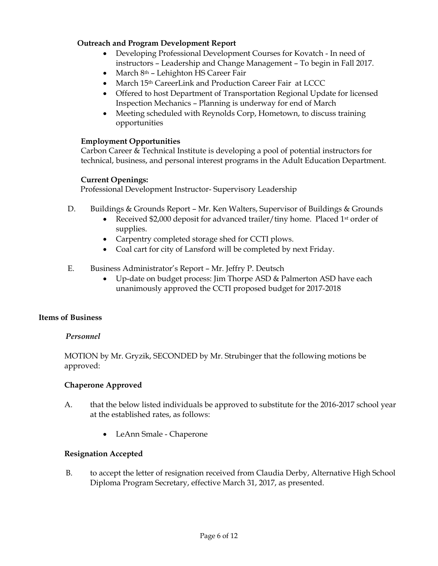## **Outreach and Program Development Report**

- Developing Professional Development Courses for Kovatch In need of instructors – Leadership and Change Management – To begin in Fall 2017.
- $\bullet$  March 8<sup>th</sup> Lehighton HS Career Fair
- March 15<sup>th</sup> CareerLink and Production Career Fair at LCCC
- Offered to host Department of Transportation Regional Update for licensed Inspection Mechanics – Planning is underway for end of March
- Meeting scheduled with Reynolds Corp, Hometown, to discuss training opportunities

## **Employment Opportunities**

Carbon Career & Technical Institute is developing a pool of potential instructors for technical, business, and personal interest programs in the Adult Education Department.

## **Current Openings:**

Professional Development Instructor- Supervisory Leadership

- D. Buildings & Grounds Report Mr. Ken Walters, Supervisor of Buildings & Grounds
	- Received \$2,000 deposit for advanced trailer/tiny home. Placed 1st order of supplies.
	- Carpentry completed storage shed for CCTI plows.
	- Coal cart for city of Lansford will be completed by next Friday.
- E. Business Administrator's Report Mr. Jeffry P. Deutsch
	- Up-date on budget process: Jim Thorpe ASD & Palmerton ASD have each unanimously approved the CCTI proposed budget for 2017-2018

## **Items of Business**

## *Personnel*

MOTION by Mr. Gryzik, SECONDED by Mr. Strubinger that the following motions be approved:

## **Chaperone Approved**

- A. that the below listed individuals be approved to substitute for the 2016-2017 school year at the established rates, as follows:
	- LeAnn Smale Chaperone

## **Resignation Accepted**

B. to accept the letter of resignation received from Claudia Derby, Alternative High School Diploma Program Secretary, effective March 31, 2017, as presented.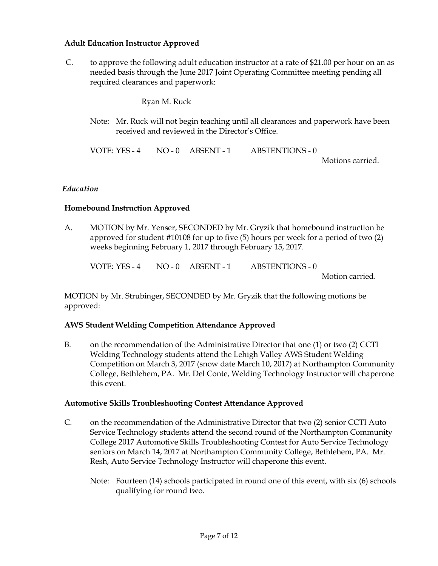## **Adult Education Instructor Approved**

C. to approve the following adult education instructor at a rate of \$21.00 per hour on an as needed basis through the June 2017 Joint Operating Committee meeting pending all required clearances and paperwork:

Ryan M. Ruck

Note: Mr. Ruck will not begin teaching until all clearances and paperwork have been received and reviewed in the Director's Office.

VOTE: YES - 4 NO - 0 ABSENT - 1 ABSTENTIONS - 0

Motions carried.

### *Education*

### **Homebound Instruction Approved**

A. MOTION by Mr. Yenser, SECONDED by Mr. Gryzik that homebound instruction be approved for student #10108 for up to five (5) hours per week for a period of two (2) weeks beginning February 1, 2017 through February 15, 2017.

VOTE: YES - 4 NO - 0 ABSENT - 1 ABSTENTIONS - 0

Motion carried.

MOTION by Mr. Strubinger, SECONDED by Mr. Gryzik that the following motions be approved:

#### **AWS Student Welding Competition Attendance Approved**

B. on the recommendation of the Administrative Director that one (1) or two (2) CCTI Welding Technology students attend the Lehigh Valley AWS Student Welding Competition on March 3, 2017 (snow date March 10, 2017) at Northampton Community College, Bethlehem, PA. Mr. Del Conte, Welding Technology Instructor will chaperone this event.

#### **Automotive Skills Troubleshooting Contest Attendance Approved**

- C. on the recommendation of the Administrative Director that two (2) senior CCTI Auto Service Technology students attend the second round of the Northampton Community College 2017 Automotive Skills Troubleshooting Contest for Auto Service Technology seniors on March 14, 2017 at Northampton Community College, Bethlehem, PA. Mr. Resh, Auto Service Technology Instructor will chaperone this event.
	- Note: Fourteen (14) schools participated in round one of this event, with six (6) schools qualifying for round two.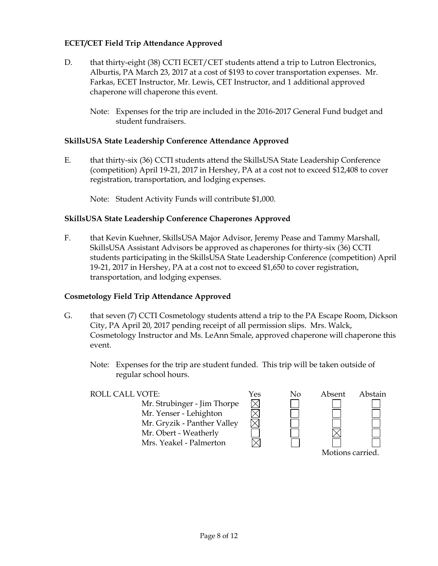## **ECET/CET Field Trip Attendance Approved**

- D. that thirty-eight (38) CCTI ECET/CET students attend a trip to Lutron Electronics, Alburtis, PA March 23, 2017 at a cost of \$193 to cover transportation expenses. Mr. Farkas, ECET Instructor, Mr. Lewis, CET Instructor, and 1 additional approved chaperone will chaperone this event.
	- Note: Expenses for the trip are included in the 2016-2017 General Fund budget and student fundraisers.

## **SkillsUSA State Leadership Conference Attendance Approved**

E. that thirty-six (36) CCTI students attend the SkillsUSA State Leadership Conference (competition) April 19-21, 2017 in Hershey, PA at a cost not to exceed \$12,408 to cover registration, transportation, and lodging expenses.

Note: Student Activity Funds will contribute \$1,000.

## **SkillsUSA State Leadership Conference Chaperones Approved**

F. that Kevin Kuehner, SkillsUSA Major Advisor, Jeremy Pease and Tammy Marshall, SkillsUSA Assistant Advisors be approved as chaperones for thirty-six (36) CCTI students participating in the SkillsUSA State Leadership Conference (competition) April 19-21, 2017 in Hershey, PA at a cost not to exceed \$1,650 to cover registration, transportation, and lodging expenses.

## **Cosmetology Field Trip Attendance Approved**

- G. that seven (7) CCTI Cosmetology students attend a trip to the PA Escape Room, Dickson City, PA April 20, 2017 pending receipt of all permission slips. Mrs. Walck, Cosmetology Instructor and Ms. LeAnn Smale, approved chaperone will chaperone this event.
	- Note: Expenses for the trip are student funded. This trip will be taken outside of regular school hours.

| <b>ROLL CALL VOTE:</b>      | Yes | No | Absent           | Abstain |
|-----------------------------|-----|----|------------------|---------|
| Mr. Strubinger - Jim Thorpe |     |    |                  |         |
| Mr. Yenser - Lehighton      |     |    |                  |         |
| Mr. Gryzik - Panther Valley |     |    |                  |         |
| Mr. Obert - Weatherly       |     |    |                  |         |
| Mrs. Yeakel - Palmerton     |     |    |                  |         |
|                             |     |    | Motions carried. |         |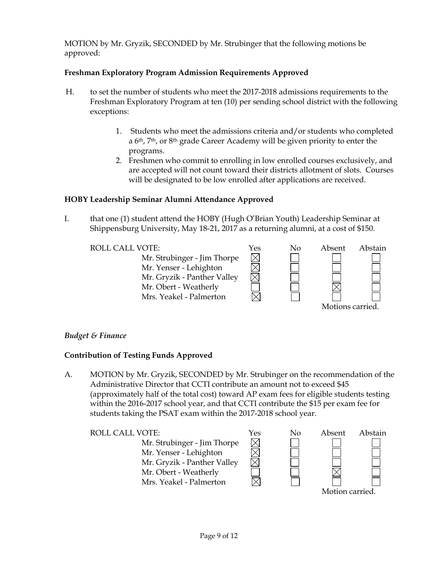MOTION by Mr. Gryzik, SECONDED by Mr. Strubinger that the following motions be approved:

## **Freshman Exploratory Program Admission Requirements Approved**

- H. to set the number of students who meet the 2017-2018 admissions requirements to the Freshman Exploratory Program at ten (10) per sending school district with the following exceptions:
	- 1. Students who meet the admissions criteria and/or students who completed a 6th, 7th, or 8th grade Career Academy will be given priority to enter the programs.
	- 2. Freshmen who commit to enrolling in low enrolled courses exclusively, and are accepted will not count toward their districts allotment of slots. Courses will be designated to be low enrolled after applications are received.

## **HOBY Leadership Seminar Alumni Attendance Approved**

I. that one (1) student attend the HOBY (Hugh O'Brian Youth) Leadership Seminar at Shippensburg University, May 18-21, 2017 as a returning alumni, at a cost of \$150.

ROLL CALL VOTE:<br>
Mr. Strubinger - Jim Thorpe<br>
Mr. Yenser - Lehighton<br>
Mr. Gryzik - Panther Valley<br>
Mr. Obert Westberk Mr. Strubinger - Jim Thorpe Mr. Yenser - Lehighton Mr. Gryzik - Panther Valley Mr. Obert - Weatherly Mrs. Yeakel - Palmerton

| ⊃              | $\overline{1}$  |
|----------------|-----------------|
| <u>ר קרי</u> ד | [<br> <br> <br> |
|                |                 |
|                |                 |
|                |                 |
| 」<br>1         |                 |



Motions carried.

## *Budget & Finance*

## **Contribution of Testing Funds Approved**

A. MOTION by Mr. Gryzik, SECONDED by Mr. Strubinger on the recommendation of the Administrative Director that CCTI contribute an amount not to exceed \$45 (approximately half of the total cost) toward AP exam fees for eligible students testing within the 2016-2017 school year, and that CCTI contribute the \$15 per exam fee for students taking the PSAT exam within the 2017-2018 school year.

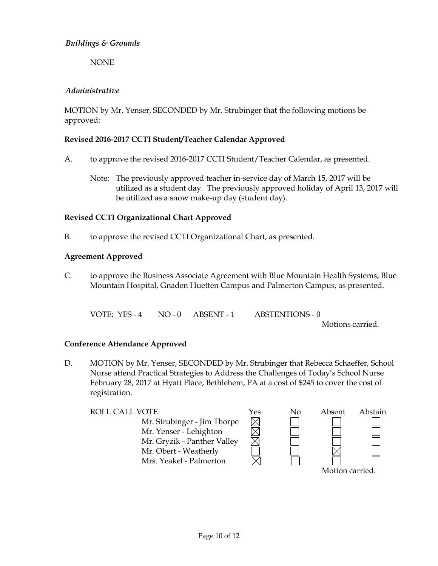## *Buildings & Grounds*

NONE

## *Administrative*

MOTION by Mr. Yenser, SECONDED by Mr. Strubinger that the following motions be approved:

## **Revised 2016-2017 CCTI Student/Teacher Calendar Approved**

- A. to approve the revised 2016-2017 CCTI Student/Teacher Calendar, as presented.
	- Note: The previously approved teacher in-service day of March 15, 2017 will be utilized as a student day. The previously approved holiday of April 13, 2017 will be utilized as a snow make-up day (student day).

## **Revised CCTI Organizational Chart Approved**

B. to approve the revised CCTI Organizational Chart, as presented.

### **Agreement Approved**

C. to approve the Business Associate Agreement with Blue Mountain Health Systems, Blue Mountain Hospital, Gnaden Huetten Campus and Palmerton Campus, as presented.

VOTE: YES - 4 NO - 0 ABSENT - 1 ABSTENTIONS - 0

Motions carried.

## **Conference Attendance Approved**

D. MOTION by Mr. Yenser, SECONDED by Mr. Strubinger that Rebecca Schaeffer, School Nurse attend Practical Strategies to Address the Challenges of Today's School Nurse February 28, 2017 at Hyatt Place, Bethlehem, PA at a cost of \$245 to cover the cost of registration.

ROLL CALL VOTE:  $Y$ es No Absent Abstain Mr. Strubinger - Jim Thorpe  $\boxtimes$ Mr. Yenser - Lehighton Mr. Gryzik - Panther Valley Mr. Obert - Weatherly Mrs. Yeakel - Palmerton Motion carried.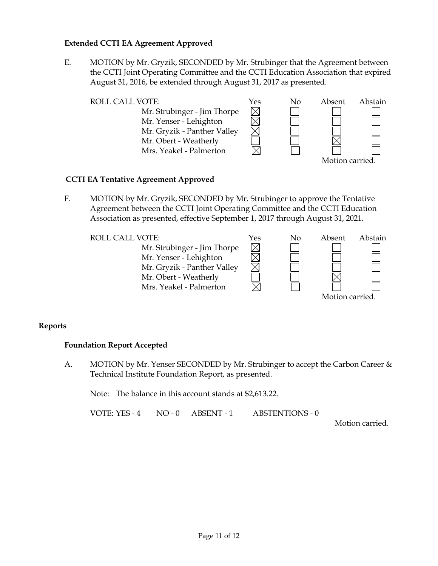### **Extended CCTI EA Agreement Approved**

E. MOTION by Mr. Gryzik, SECONDED by Mr. Strubinger that the Agreement between the CCTI Joint Operating Committee and the CCTI Education Association that expired August 31, 2016, be extended through August 31, 2017 as presented.

| <b>ROLL CALL VOTE:</b>      | Yes | No | Absent          | Abstain |
|-----------------------------|-----|----|-----------------|---------|
| Mr. Strubinger - Jim Thorpe |     |    |                 |         |
| Mr. Yenser - Lehighton      |     |    |                 |         |
| Mr. Gryzik - Panther Valley |     |    |                 |         |
| Mr. Obert - Weatherly       |     |    |                 |         |
| Mrs. Yeakel - Palmerton     |     |    |                 |         |
|                             |     |    | Motion carried. |         |

### **CCTI EA Tentative Agreement Approved**

F. MOTION by Mr. Gryzik, SECONDED by Mr. Strubinger to approve the Tentative Agreement between the CCTI Joint Operating Committee and the CCTI Education Association as presented, effective September 1, 2017 through August 31, 2021.

> $\boxtimes$ <u>M</u><br>M

Mr. Strubinger - Jim Thorpe Mr. Yenser - Lehighton Mr. Gryzik - Panther Valley Mr. Obert - Weatherly Mrs. Yeakel - Palmerton



## **Reports**

#### **Foundation Report Accepted**

A. MOTION by Mr. Yenser SECONDED by Mr. Strubinger to accept the Carbon Career & Technical Institute Foundation Report, as presented.

Note: The balance in this account stands at \$2,613.22.

VOTE: YES - 4 NO - 0 ABSENT - 1 ABSTENTIONS - 0

Motion carried.